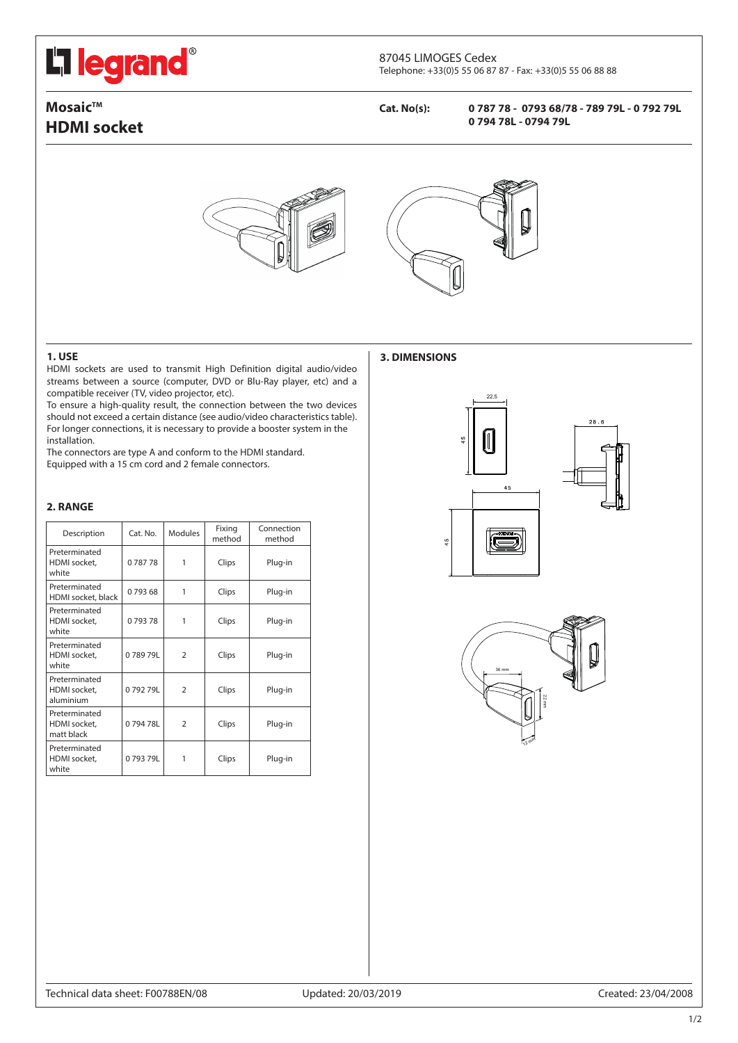# L<sub>ilegrand</sub>®

#### 87045 LIMOGES Cedex Telephone: +33(0)5 55 06 87 87 - Fax: +33(0)5 55 06 88 88

## **Mosaic™ HDMI socket**

**Cat. No(s): 0 787 78 - 0793 68/78 - 789 79L - 0 792 79L 0 794 78L - 0794 79L**





## **1. USE** 3. DIMENSIONS

HDMI sockets are used to transmit High Definition digital audio/video streams between a source (computer, DVD or Blu-Ray player, etc) and a compatible receiver (TV, video projector, etc).

To ensure a high-quality result, the connection between the two devices should not exceed a certain distance (see audio/video characteristics table). For longer connections, it is necessary to provide a booster system in the installation.

The connectors are type A and conform to the HDMI standard. Equipped with a 15 cm cord and 2 female connectors.

## **2. RANGE**

| Description                                 | Cat. No. | <b>Modules</b> | Fixing<br>method | Connection<br>method |
|---------------------------------------------|----------|----------------|------------------|----------------------|
| Preterminated<br>HDMI socket,<br>white      | 078778   | 1              | Clips            | Plug-in              |
| Preterminated<br>HDMI socket, black         | 079368   | 1              | Clips            | Plug-in              |
| Preterminated<br>HDMI socket,<br>white      | 079378   | 1              | Clips            | Plug-in              |
| Preterminated<br>HDMI socket,<br>white      | 078979L  | $\overline{2}$ | Clips            | Plug-in              |
| Preterminated<br>HDMI socket.<br>aluminium  | 079279L  | $\overline{2}$ | Clips            | Plug-in              |
| Preterminated<br>HDMI socket.<br>matt black | 079478L  | $\overline{2}$ | Clips            | Plug-in              |
| Preterminated<br>HDMI socket,<br>white      | 079379L  |                | Clips            | Plug-in              |